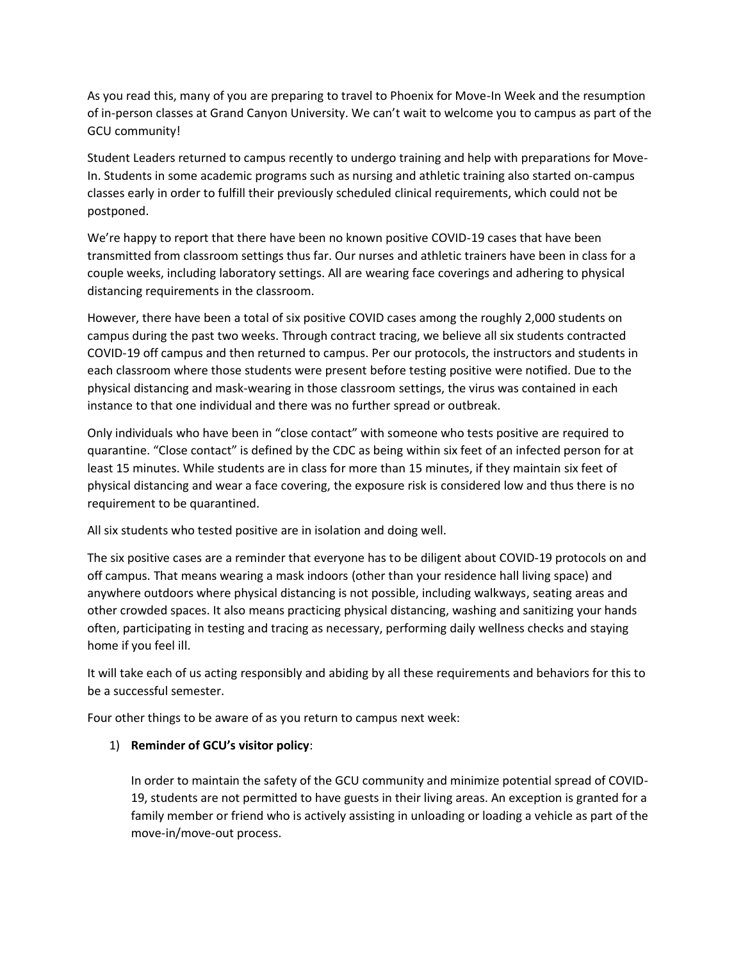As you read this, many of you are preparing to travel to Phoenix for Move-In Week and the resumption of in-person classes at Grand Canyon University. We can't wait to welcome you to campus as part of the GCU community!

Student Leaders returned to campus recently to undergo training and help with preparations for Move-In. Students in some academic programs such as nursing and athletic training also started on-campus classes early in order to fulfill their previously scheduled clinical requirements, which could not be postponed.

We're happy to report that there have been no known positive COVID-19 cases that have been transmitted from classroom settings thus far. Our nurses and athletic trainers have been in class for a couple weeks, including laboratory settings. All are wearing face coverings and adhering to physical distancing requirements in the classroom.

However, there have been a total of six positive COVID cases among the roughly 2,000 students on campus during the past two weeks. Through contract tracing, we believe all six students contracted COVID-19 off campus and then returned to campus. Per our protocols, the instructors and students in each classroom where those students were present before testing positive were notified. Due to the physical distancing and mask-wearing in those classroom settings, the virus was contained in each instance to that one individual and there was no further spread or outbreak.

Only individuals who have been in "close contact" with someone who tests positive are required to quarantine. "Close contact" is defined by the CDC as being within six feet of an infected person for at least 15 minutes. While students are in class for more than 15 minutes, if they maintain six feet of physical distancing and wear a face covering, the exposure risk is considered low and thus there is no requirement to be quarantined.

All six students who tested positive are in isolation and doing well.

The six positive cases are a reminder that everyone has to be diligent about COVID-19 protocols on and off campus. That means wearing a mask indoors (other than your residence hall living space) and anywhere outdoors where physical distancing is not possible, including walkways, seating areas and other crowded spaces. It also means practicing physical distancing, washing and sanitizing your hands often, participating in testing and tracing as necessary, performing daily wellness checks and staying home if you feel ill.

It will take each of us acting responsibly and abiding by all these requirements and behaviors for this to be a successful semester.

Four other things to be aware of as you return to campus next week:

## 1) **Reminder of GCU's visitor policy**:

In order to maintain the safety of the GCU community and minimize potential spread of COVID-19, students are not permitted to have guests in their living areas. An exception is granted for a family member or friend who is actively assisting in unloading or loading a vehicle as part of the move-in/move-out process.